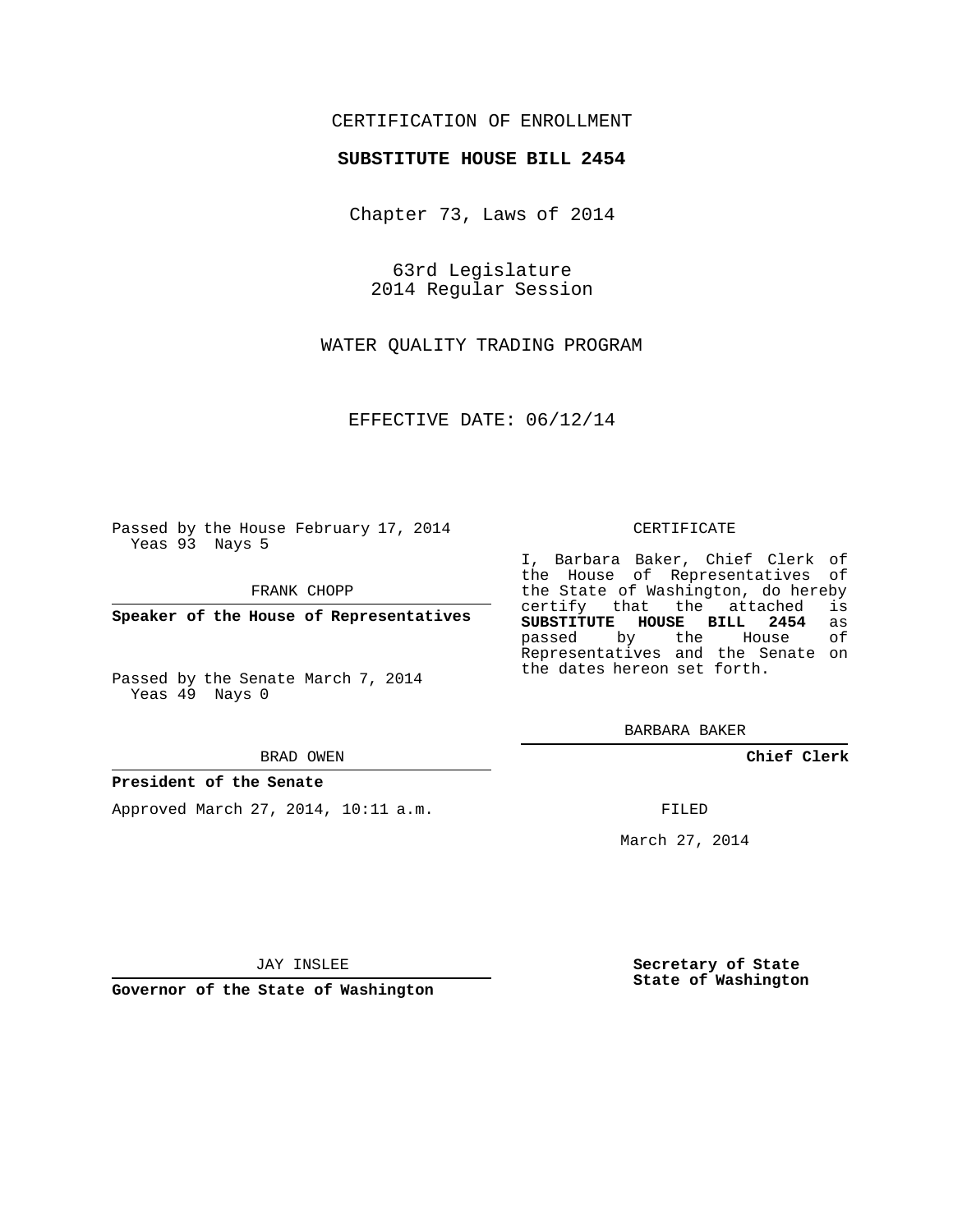### CERTIFICATION OF ENROLLMENT

#### **SUBSTITUTE HOUSE BILL 2454**

Chapter 73, Laws of 2014

63rd Legislature 2014 Regular Session

WATER QUALITY TRADING PROGRAM

EFFECTIVE DATE: 06/12/14

Passed by the House February 17, 2014 Yeas 93 Nays 5

FRANK CHOPP

**Speaker of the House of Representatives**

Passed by the Senate March 7, 2014 Yeas 49 Nays 0

BRAD OWEN

#### **President of the Senate**

Approved March 27, 2014, 10:11 a.m.

CERTIFICATE

I, Barbara Baker, Chief Clerk of the House of Representatives of the State of Washington, do hereby<br>certify that the attached is certify that the attached **SUBSTITUTE HOUSE BILL 2454** as passed by the Representatives and the Senate on the dates hereon set forth.

BARBARA BAKER

**Chief Clerk**

FILED

March 27, 2014

JAY INSLEE

**Governor of the State of Washington**

**Secretary of State State of Washington**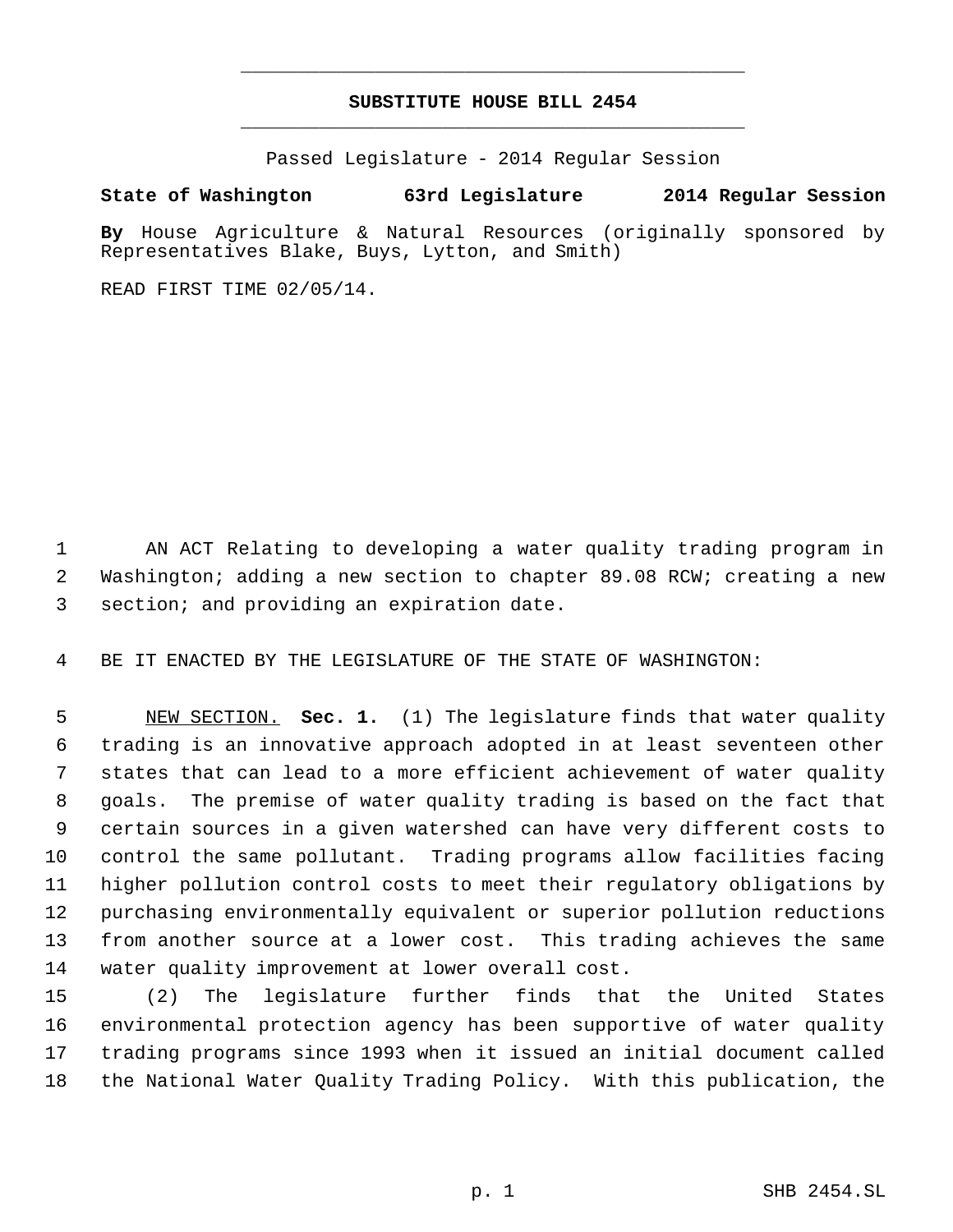# **SUBSTITUTE HOUSE BILL 2454** \_\_\_\_\_\_\_\_\_\_\_\_\_\_\_\_\_\_\_\_\_\_\_\_\_\_\_\_\_\_\_\_\_\_\_\_\_\_\_\_\_\_\_\_\_

\_\_\_\_\_\_\_\_\_\_\_\_\_\_\_\_\_\_\_\_\_\_\_\_\_\_\_\_\_\_\_\_\_\_\_\_\_\_\_\_\_\_\_\_\_

Passed Legislature - 2014 Regular Session

## **State of Washington 63rd Legislature 2014 Regular Session**

**By** House Agriculture & Natural Resources (originally sponsored by Representatives Blake, Buys, Lytton, and Smith)

READ FIRST TIME 02/05/14.

 AN ACT Relating to developing a water quality trading program in Washington; adding a new section to chapter 89.08 RCW; creating a new section; and providing an expiration date.

BE IT ENACTED BY THE LEGISLATURE OF THE STATE OF WASHINGTON:

 NEW SECTION. **Sec. 1.** (1) The legislature finds that water quality trading is an innovative approach adopted in at least seventeen other states that can lead to a more efficient achievement of water quality goals. The premise of water quality trading is based on the fact that certain sources in a given watershed can have very different costs to control the same pollutant. Trading programs allow facilities facing higher pollution control costs to meet their regulatory obligations by purchasing environmentally equivalent or superior pollution reductions from another source at a lower cost. This trading achieves the same water quality improvement at lower overall cost.

 (2) The legislature further finds that the United States environmental protection agency has been supportive of water quality trading programs since 1993 when it issued an initial document called the National Water Quality Trading Policy. With this publication, the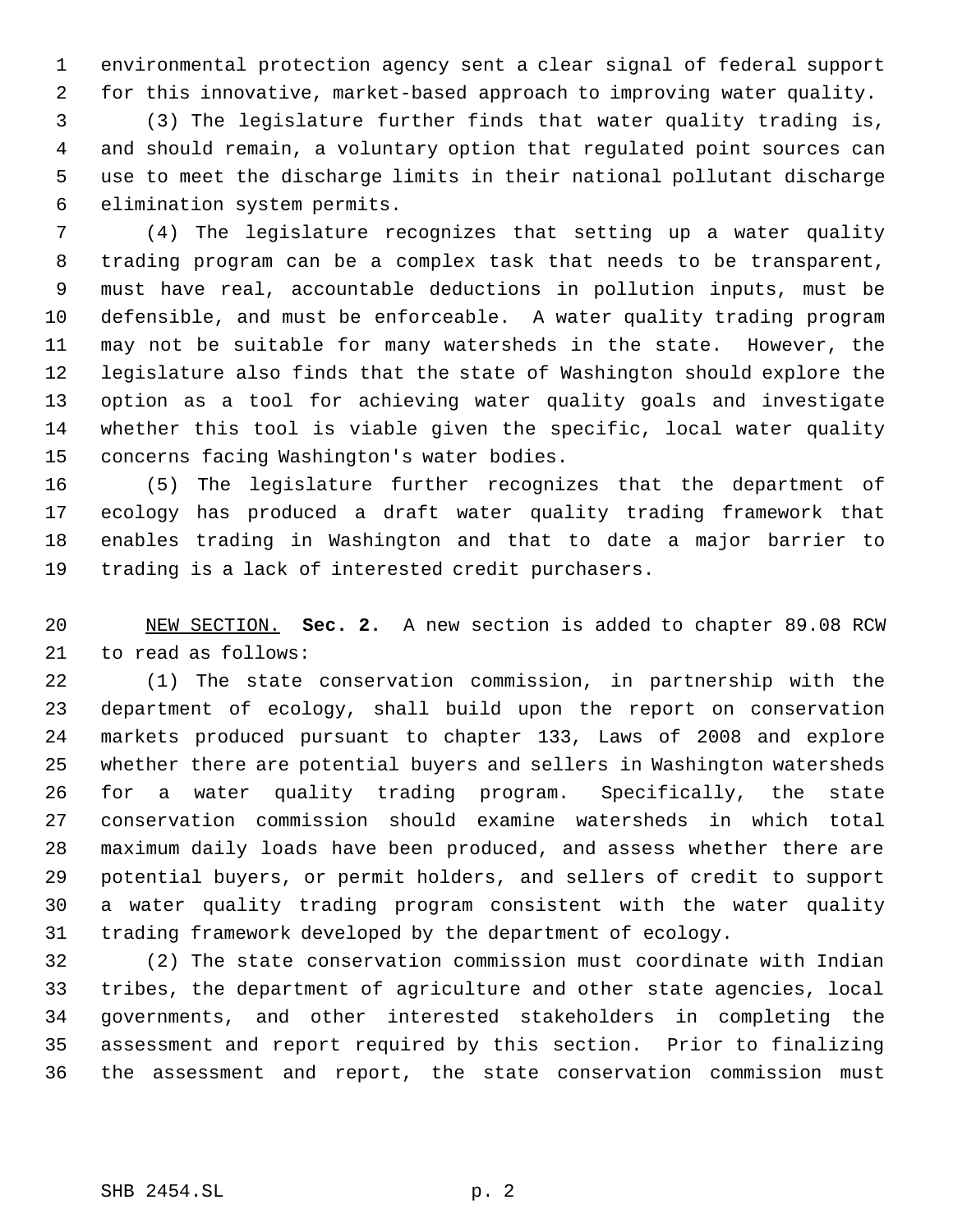environmental protection agency sent a clear signal of federal support for this innovative, market-based approach to improving water quality.

 (3) The legislature further finds that water quality trading is, and should remain, a voluntary option that regulated point sources can use to meet the discharge limits in their national pollutant discharge elimination system permits.

 (4) The legislature recognizes that setting up a water quality trading program can be a complex task that needs to be transparent, must have real, accountable deductions in pollution inputs, must be defensible, and must be enforceable. A water quality trading program may not be suitable for many watersheds in the state. However, the legislature also finds that the state of Washington should explore the option as a tool for achieving water quality goals and investigate whether this tool is viable given the specific, local water quality concerns facing Washington's water bodies.

 (5) The legislature further recognizes that the department of ecology has produced a draft water quality trading framework that enables trading in Washington and that to date a major barrier to trading is a lack of interested credit purchasers.

 NEW SECTION. **Sec. 2.** A new section is added to chapter 89.08 RCW to read as follows:

 (1) The state conservation commission, in partnership with the department of ecology, shall build upon the report on conservation markets produced pursuant to chapter 133, Laws of 2008 and explore whether there are potential buyers and sellers in Washington watersheds for a water quality trading program. Specifically, the state conservation commission should examine watersheds in which total maximum daily loads have been produced, and assess whether there are potential buyers, or permit holders, and sellers of credit to support a water quality trading program consistent with the water quality trading framework developed by the department of ecology.

 (2) The state conservation commission must coordinate with Indian tribes, the department of agriculture and other state agencies, local governments, and other interested stakeholders in completing the assessment and report required by this section. Prior to finalizing the assessment and report, the state conservation commission must